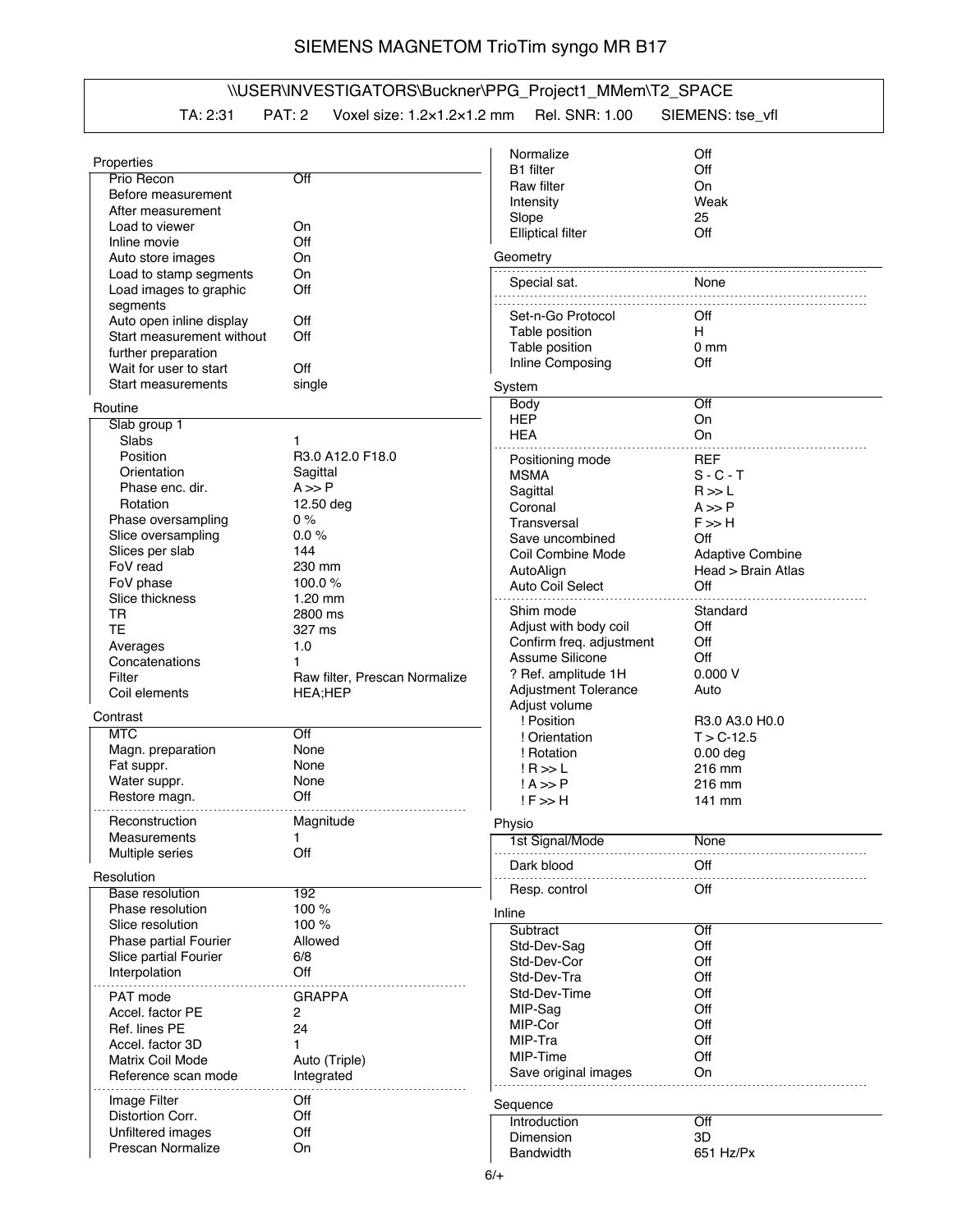## SIEMENS MAGNETOM TrioTim syngo MR B17

## \\USER\INVESTIGATORS\Buckner\PPG\_Project1\_MMem\T2\_SPACE

TA: 2:31 PAT: 2 Voxel size: 1.2×1.2×1.2 mm Rel. SNR: 1.00 SIEMENS: tse\_vfl

|                           |                               | Normalize                   | Off                     |
|---------------------------|-------------------------------|-----------------------------|-------------------------|
| Properties                |                               | B1 filter                   | Off                     |
| Prio Recon                | Off                           | Raw filter                  | On                      |
| Before measurement        |                               | Intensity                   | Weak                    |
| After measurement         |                               | Slope                       | 25                      |
| Load to viewer            | On                            | <b>Elliptical filter</b>    | Off                     |
| Inline movie              | Off                           |                             |                         |
| Auto store images         | On                            | Geometry                    |                         |
| Load to stamp segments    | On                            |                             |                         |
| Load images to graphic    | Off                           | Special sat.                | None                    |
| segments                  |                               |                             |                         |
| Auto open inline display  | Off                           | Set-n-Go Protocol           | Off                     |
| Start measurement without | Off                           | Table position              | H                       |
| further preparation       |                               | Table position              | 0 <sub>mm</sub>         |
| Wait for user to start    | Off                           | Inline Composing            | Off                     |
| Start measurements        | single                        |                             |                         |
|                           |                               | System                      |                         |
| Routine                   |                               | <b>Body</b>                 | Off                     |
| Slab group 1              |                               | <b>HEP</b>                  | On                      |
| Slabs                     | 1                             | <b>HEA</b>                  | On                      |
| Position                  | R3.0 A12.0 F18.0              | Positioning mode            | <b>REF</b>              |
| Orientation               | Sagittal                      | <b>MSMA</b>                 | $S - C - T$             |
| Phase enc. dir.           | $A \gg P$                     | Sagittal                    | R >> L                  |
| Rotation                  | 12.50 deg                     |                             |                         |
| Phase oversampling        | 0%                            | Coronal                     | $A \gg P$               |
|                           | 0.0%                          | Transversal                 | $F \gg H$               |
| Slice oversampling        |                               | Save uncombined             | Off                     |
| Slices per slab           | 144                           | Coil Combine Mode           | <b>Adaptive Combine</b> |
| FoV read                  | 230 mm                        | AutoAlign                   | Head > Brain Atlas      |
| FoV phase                 | 100.0%                        | Auto Coil Select            | Off                     |
| Slice thickness           | $1.20$ mm                     |                             |                         |
| TR                        | 2800 ms                       | Shim mode                   | Standard                |
| <b>TE</b>                 | 327 ms                        | Adjust with body coil       | Off                     |
| Averages                  | 1.0                           | Confirm freq. adjustment    | Off                     |
| Concatenations            |                               | Assume Silicone             | Off                     |
| Filter                    | Raw filter, Prescan Normalize | ? Ref. amplitude 1H         | 0.000V                  |
| Coil elements             | <b>HEA;HEP</b>                | <b>Adjustment Tolerance</b> | Auto                    |
|                           |                               | Adjust volume               |                         |
| Contrast                  |                               | ! Position                  | R3.0 A3.0 H0.0          |
| <b>MTC</b>                | Off                           | ! Orientation               | $T > C - 12.5$          |
| Magn. preparation         | None                          | ! Rotation                  | $0.00$ deg              |
| Fat suppr.                | None                          | $IR \gg L$                  | 216 mm                  |
| Water suppr.              | None                          | $! A \gg P$                 | 216 mm                  |
| Restore magn.             | Off                           | $!F \gg H$                  | 141 mm                  |
|                           |                               |                             |                         |
| <b>Heconstruction</b>     | Magnitude                     | Physio                      |                         |
| Measurements              | 1                             | 1st Signal/Mode             | None                    |
| Multiple series           | Off                           | Dark blood                  | Off                     |
| Resolution                |                               |                             |                         |
| <b>Base resolution</b>    | 192                           | Resp. control               | Off                     |
| Phase resolution          | 100 %                         | Inline                      |                         |
| Slice resolution          | 100 %                         | Subtract                    | Off                     |
| Phase partial Fourier     | Allowed                       |                             |                         |
| Slice partial Fourier     | 6/8                           | Std-Dev-Saq                 | Off                     |
| Interpolation             | Off                           | Std-Dev-Cor                 | Off                     |
|                           |                               | Std-Dev-Tra                 | Off                     |
| <b>PAT</b> mode           | <b>GRAPPA</b>                 | Std-Dev-Time                | Off                     |
| Accel. factor PE          | 2                             | MIP-Sag                     | Off                     |
| Ref. lines PE             | 24                            | MIP-Cor                     | Off                     |
| Accel. factor 3D          | 1                             | MIP-Tra                     | Off                     |
| Matrix Coil Mode          | Auto (Triple)                 | MIP-Time                    | Off                     |
| Reference scan mode       | Integrated                    | Save original images        | On                      |
|                           |                               |                             |                         |
| Image Filter              | Off                           | Sequence                    |                         |
| Distortion Corr.          | Off                           | Introduction                | Off                     |
| Unfiltered images         | Off                           | Dimension                   | 3D                      |
| Prescan Normalize         | On                            | <b>Bandwidth</b>            | 651 Hz/Px               |